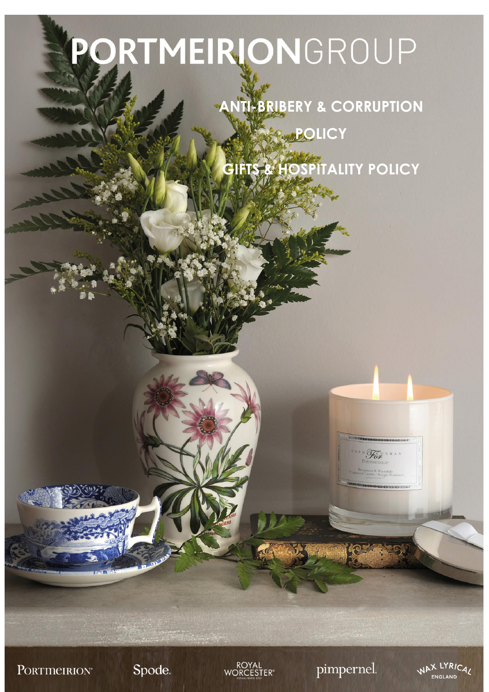# PORTMEIRIONGROUP

**ANTI-BRIBERY & CORRUPTION POLICY** 

**GIFTS & HOSPITALITY POLICY**

Spode.



pimpernel.

For

WAX LYRICAL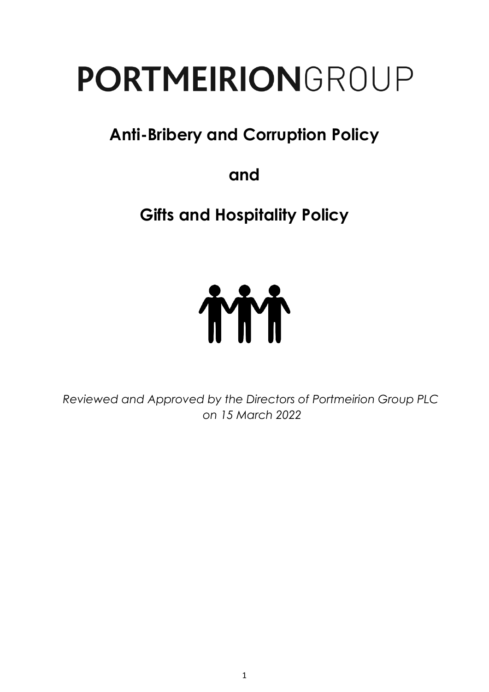## PORTMEIRIONGROUP

## **Anti-Bribery and Corruption Policy**

**and**

**Gifts and Hospitality Policy**



*on 15 March 2022 Reviewed and Approved by the Directors of Portmeirion Group PLC*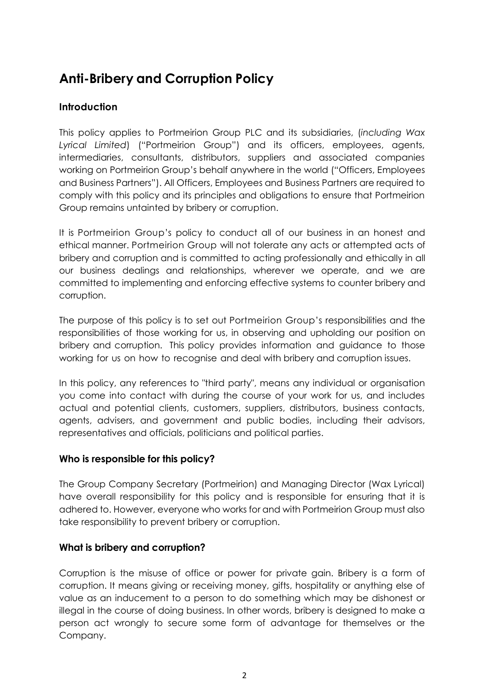### **Anti-Bribery and Corruption Policy**

#### **Introduction**

This policy applies to Portmeirion Group PLC and its subsidiaries, (*including Wax Lyrical Limited*) ("Portmeirion Group") and its officers, employees, agents, intermediaries, consultants, distributors, suppliers and associated companies working on Portmeirion Group's behalf anywhere in the world ("Officers, Employees and Business Partners"). All Officers, Employees and Business Partners are required to comply with this policy and its principles and obligations to ensure that Portmeirion Group remains untainted by bribery or corruption.

It is Portmeirion Group's policy to conduct all of our business in an honest and ethical manner. Portmeirion Group will not tolerate any acts or attempted acts of bribery and corruption and is committed to acting professionally and ethically in all our business dealings and relationships, wherever we operate, and we are committed to implementing and enforcing effective systems to counter bribery and corruption.

The purpose of this policy is to set out Portmeirion Group's responsibilities and the responsibilities of those working for us, in observing and upholding our position on bribery and corruption. This policy provides information and guidance to those working for us on how to recognise and deal with bribery and corruption issues.

In this policy, any references to "third party", means any individual or organisation you come into contact with during the course of your work for us, and includes actual and potential clients, customers, suppliers, distributors, business contacts, agents, advisers, and government and public bodies, including their advisors, representatives and officials, politicians and political parties.

#### **Who is responsible for this policy?**

The Group Company Secretary (Portmeirion) and Managing Director (Wax Lyrical) have overall responsibility for this policy and is responsible for ensuring that it is adhered to. However, everyone who works for and with Portmeirion Group must also take responsibility to prevent bribery or corruption.

#### **What is bribery and corruption?**

Corruption is the misuse of office or power for private gain. Bribery is a form of corruption. It means giving or receiving money, gifts, hospitality or anything else of value as an inducement to a person to do something which may be dishonest or illegal in the course of doing business. In other words, bribery is designed to make a person act wrongly to secure some form of advantage for themselves or the Company.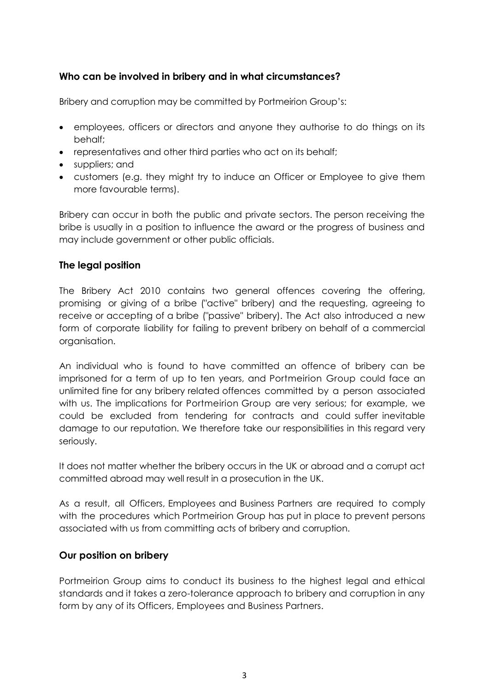#### **Who can be involved in bribery and in what circumstances?**

Bribery and corruption may be committed by Portmeirion Group's:

- employees, officers or directors and anyone they authorise to do things on its behalf;
- representatives and other third parties who act on its behalf;
- suppliers; and
- customers (e.g. they might try to induce an Officer or Employee to give them more favourable terms).

Bribery can occur in both the public and private sectors. The person receiving the bribe is usually in a position to influence the award or the progress of business and may include government or other public officials.

#### **The legal position**

The Bribery Act 2010 contains two general offences covering the offering, promising or giving of a bribe ("active" bribery) and the requesting, agreeing to receive or accepting of a bribe ("passive" bribery). The Act also introduced a new form of corporate liability for failing to prevent bribery on behalf of a commercial organisation.

An individual who is found to have committed an offence of bribery can be imprisoned for a term of up to ten years, and Portmeirion Group could face an unlimited fine for any bribery related offences committed by a person associated with us. The implications for Portmeirion Group are very serious; for example, we could be excluded from tendering for contracts and could suffer inevitable damage to our reputation. We therefore take our responsibilities in this regard very seriously.

It does not matter whether the bribery occurs in the UK or abroad and a corrupt act committed abroad may well result in a prosecution in the UK.

As a result, all Officers, Employees and Business Partners are required to comply with the procedures which Portmeirion Group has put in place to prevent persons associated with us from committing acts of bribery and corruption.

#### **Our position on bribery**

Portmeirion Group aims to conduct its business to the highest legal and ethical standards and it takes a zero-tolerance approach to bribery and corruption in any form by any of its Officers, Employees and Business Partners.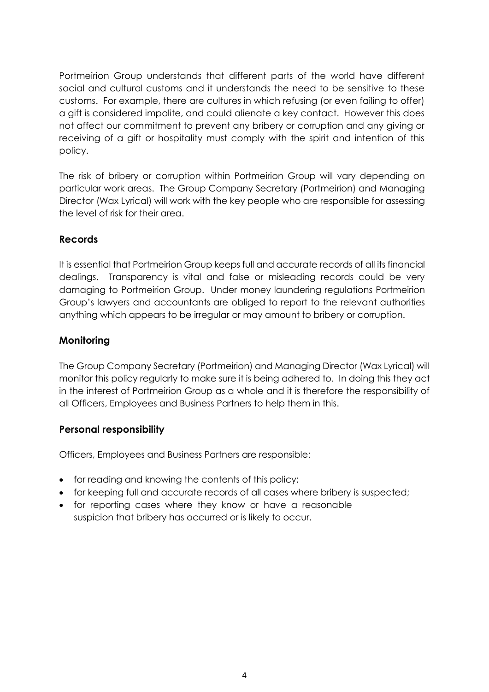Portmeirion Group understands that different parts of the world have different social and cultural customs and it understands the need to be sensitive to these customs. For example, there are cultures in which refusing (or even failing to offer) a gift is considered impolite, and could alienate a key contact. However this does not affect our commitment to prevent any bribery or corruption and any giving or receiving of a gift or hospitality must comply with the spirit and intention of this policy.

The risk of bribery or corruption within Portmeirion Group will vary depending on particular work areas. The Group Company Secretary (Portmeirion) and Managing Director (Wax Lyrical) will work with the key people who are responsible for assessing the level of risk for their area.

#### **Records**

It is essential that Portmeirion Group keeps full and accurate records of all its financial dealings. Transparency is vital and false or misleading records could be very damaging to Portmeirion Group. Under money laundering regulations Portmeirion Group's lawyers and accountants are obliged to report to the relevant authorities anything which appears to be irregular or may amount to bribery or corruption.

#### **Monitoring**

The Group Company Secretary (Portmeirion) and Managing Director (Wax Lyrical) will monitor this policy regularly to make sure it is being adhered to. In doing this they act in the interest of Portmeirion Group as a whole and it is therefore the responsibility of all Officers, Employees and Business Partners to help them in this.

#### **Personal responsibility**

Officers, Employees and Business Partners are responsible:

- for reading and knowing the contents of this policy;
- for keeping full and accurate records of all cases where bribery is suspected;
- for reporting cases where they know or have a reasonable suspicion that bribery has occurred or is likely to occur.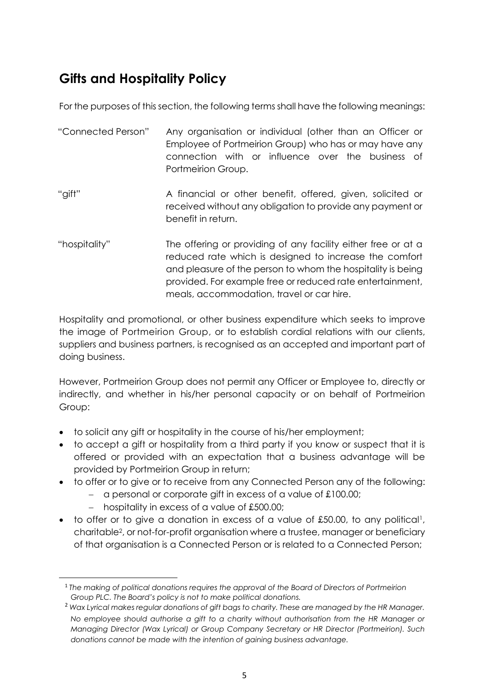### **Gifts and Hospitality Policy**

For the purposes of this section, the following terms shall have the following meanings:

| "Connected Person" | Any organisation or individual (other than an Officer or<br>Employee of Portmeirion Group) who has or may have any<br>connection with or influence over the business of<br>Portmeirion Group. |
|--------------------|-----------------------------------------------------------------------------------------------------------------------------------------------------------------------------------------------|
| "gift"             | A financial or other benefit, offered, given, solicited or<br>received without any obligation to provide any payment or<br>benefit in return.                                                 |
| "hospitality"      | The offering or providing of any facility either free or at a<br>reduced rate which is designed to increase the comfort<br>and pleasure of the person to whom the hospitality is being        |

Hospitality and promotional, or other business expenditure which seeks to improve the image of Portmeirion Group, or to establish cordial relations with our clients, suppliers and business partners, is recognised as an accepted and important part of doing business.

meals, accommodation, travel or car hire.

provided. For example free or reduced rate entertainment,

However, Portmeirion Group does not permit any Officer or Employee to, directly or indirectly, and whether in his/her personal capacity or on behalf of Portmeirion Group:

- to solicit any gift or hospitality in the course of his/her employment;
- to accept a gift or hospitality from a third party if you know or suspect that it is offered or provided with an expectation that a business advantage will be provided by Portmeirion Group in return;
- to offer or to give or to receive from any Connected Person any of the following:
	- a personal or corporate gift in excess of a value of £100.00;
	- hospitality in excess of a value of £500.00;

 $\overline{a}$ 

 $\bullet$  to offer or to give a donation in excess of a value of £50.00, to any political<sup>1</sup>, charitable<sup>2</sup> , or not-for-profit organisation where a trustee, manager or beneficiary of that organisation is a Connected Person or is related to a Connected Person;

<sup>1</sup> *The making of political donations requires the approval of the Board of Directors of Portmeirion Group PLC. The Board's policy is not to make political donations.* 

<sup>2</sup> *Wax Lyrical makes regular donations of gift bags to charity. These are managed by the HR Manager. No employee should authorise a gift to a charity without authorisation from the HR Manager or Managing Director (Wax Lyrical) or Group Company Secretary or HR Director (Portmeirion). Such donations cannot be made with the intention of gaining business advantage.*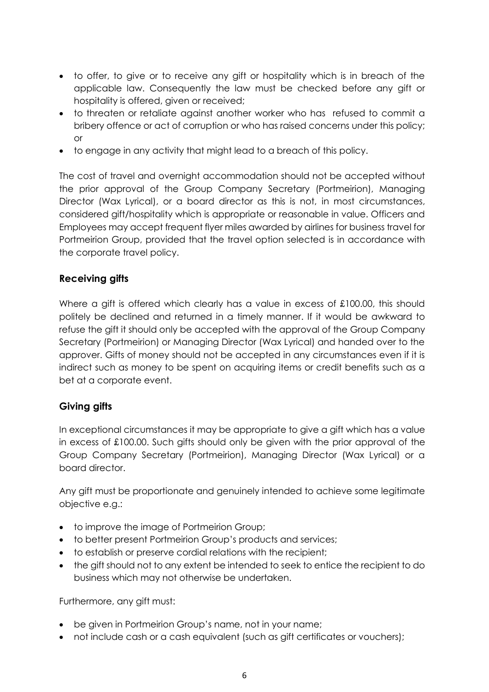- to offer, to give or to receive any gift or hospitality which is in breach of the applicable law. Consequently the law must be checked before any gift or hospitality is offered, given or received;
- to threaten or retaliate against another worker who has refused to commit a bribery offence or act of corruption or who has raised concerns under this policy; or
- to engage in any activity that might lead to a breach of this policy.

The cost of travel and overnight accommodation should not be accepted without the prior approval of the Group Company Secretary (Portmeirion), Managing Director (Wax Lyrical), or a board director as this is not, in most circumstances, considered gift/hospitality which is appropriate or reasonable in value. Officers and Employees may accept frequent flyer miles awarded by airlines for business travel for Portmeirion Group, provided that the travel option selected is in accordance with the corporate travel policy.

#### **Receiving gifts**

Where a gift is offered which clearly has a value in excess of £100.00, this should politely be declined and returned in a timely manner. If it would be awkward to refuse the gift it should only be accepted with the approval of the Group Company Secretary (Portmeirion) or Managing Director (Wax Lyrical) and handed over to the approver. Gifts of money should not be accepted in any circumstances even if it is indirect such as money to be spent on acquiring items or credit benefits such as a bet at a corporate event.

#### **Giving gifts**

In exceptional circumstances it may be appropriate to give a gift which has a value in excess of £100.00. Such gifts should only be given with the prior approval of the Group Company Secretary (Portmeirion), Managing Director (Wax Lyrical) or a board director.

Any gift must be proportionate and genuinely intended to achieve some legitimate objective e.g.:

- to improve the image of Portmeirion Group;
- to better present Portmeirion Group's products and services;
- to establish or preserve cordial relations with the recipient;
- the gift should not to any extent be intended to seek to entice the recipient to do business which may not otherwise be undertaken.

Furthermore, any gift must:

- be given in Portmeirion Group's name, not in your name;
- not include cash or a cash equivalent (such as gift certificates or vouchers);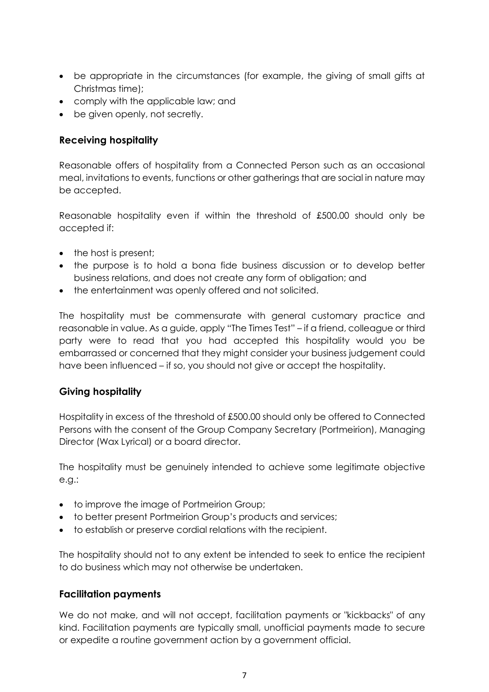- be appropriate in the circumstances (for example, the giving of small gifts at Christmas time);
- comply with the applicable law; and
- be given openly, not secretly.

#### **Receiving hospitality**

Reasonable offers of hospitality from a Connected Person such as an occasional meal, invitations to events, functions or other gatherings that are social in nature may be accepted.

Reasonable hospitality even if within the threshold of £500.00 should only be accepted if:

- the host is present;
- the purpose is to hold a bona fide business discussion or to develop better business relations, and does not create any form of obligation; and
- the entertainment was openly offered and not solicited.

The hospitality must be commensurate with general customary practice and reasonable in value. As a guide, apply "The Times Test" – if a friend, colleague or third party were to read that you had accepted this hospitality would you be embarrassed or concerned that they might consider your business judgement could have been influenced – if so, you should not give or accept the hospitality.

#### **Giving hospitality**

Hospitality in excess of the threshold of £500.00 should only be offered to Connected Persons with the consent of the Group Company Secretary (Portmeirion), Managing Director (Wax Lyrical) or a board director.

The hospitality must be genuinely intended to achieve some legitimate objective e.g.:

- to improve the image of Portmeirion Group;
- to better present Portmeirion Group's products and services;
- to establish or preserve cordial relations with the recipient.

The hospitality should not to any extent be intended to seek to entice the recipient to do business which may not otherwise be undertaken.

#### **Facilitation payments**

We do not make, and will not accept, facilitation payments or "kickbacks" of any kind. Facilitation payments are typically small, unofficial payments made to secure or expedite a routine government action by a government official.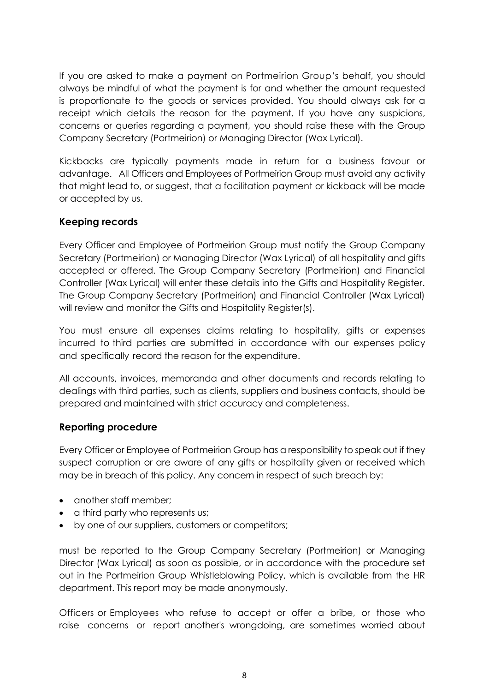If you are asked to make a payment on Portmeirion Group's behalf, you should always be mindful of what the payment is for and whether the amount requested is proportionate to the goods or services provided. You should always ask for a receipt which details the reason for the payment. If you have any suspicions, concerns or queries regarding a payment, you should raise these with the Group Company Secretary (Portmeirion) or Managing Director (Wax Lyrical).

Kickbacks are typically payments made in return for a business favour or advantage. All Officers and Employees of Portmeirion Group must avoid any activity that might lead to, or suggest, that a facilitation payment or kickback will be made or accepted by us.

#### **Keeping records**

Every Officer and Employee of Portmeirion Group must notify the Group Company Secretary (Portmeirion) or Managing Director (Wax Lyrical) of all hospitality and gifts accepted or offered. The Group Company Secretary (Portmeirion) and Financial Controller (Wax Lyrical) will enter these details into the Gifts and Hospitality Register. The Group Company Secretary (Portmeirion) and Financial Controller (Wax Lyrical) will review and monitor the Gifts and Hospitality Register(s).

You must ensure all expenses claims relating to hospitality, gifts or expenses incurred to third parties are submitted in accordance with our expenses policy and specifically record the reason for the expenditure.

All accounts, invoices, memoranda and other documents and records relating to dealings with third parties, such as clients, suppliers and business contacts, should be prepared and maintained with strict accuracy and completeness.

#### **Reporting procedure**

Every Officer or Employee of Portmeirion Group has a responsibility to speak out if they suspect corruption or are aware of any gifts or hospitality given or received which may be in breach of this policy. Any concern in respect of such breach by:

- another staff member:
- a third party who represents us;
- by one of our suppliers, customers or competitors;

must be reported to the Group Company Secretary (Portmeirion) or Managing Director (Wax Lyrical) as soon as possible, or in accordance with the procedure set out in the Portmeirion Group Whistleblowing Policy, which is available from the HR department. This report may be made anonymously.

Officers or Employees who refuse to accept or offer a bribe, or those who raise concerns or report another's wrongdoing, are sometimes worried about